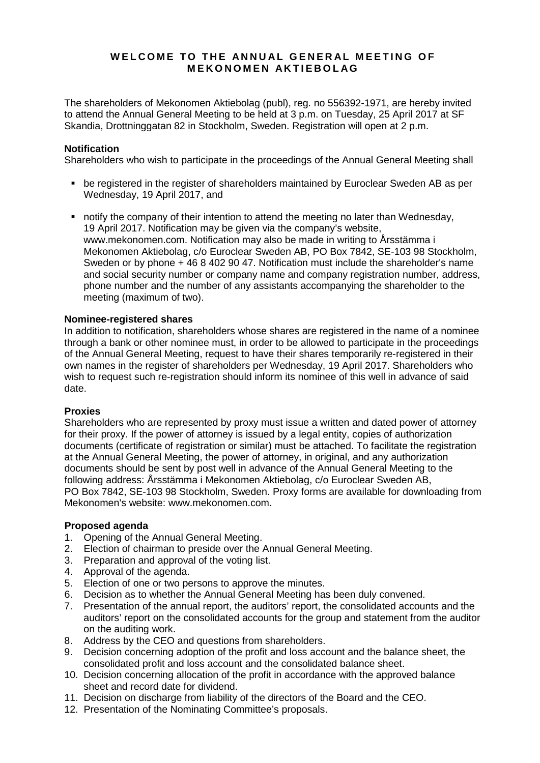# **WELCOME TO THE ANNUAL GENERAL MEETING OF MEKONOMEN AKTIEBOLAG**

The shareholders of Mekonomen Aktiebolag (publ), reg. no 556392-1971, are hereby invited to attend the Annual General Meeting to be held at 3 p.m. on Tuesday, 25 April 2017 at SF Skandia, Drottninggatan 82 in Stockholm, Sweden. Registration will open at 2 p.m.

### **Notification**

Shareholders who wish to participate in the proceedings of the Annual General Meeting shall

- be registered in the register of shareholders maintained by Euroclear Sweden AB as per Wednesday, 19 April 2017, and
- notify the company of their intention to attend the meeting no later than Wednesday, 19 April 2017. Notification may be given via the company's website, www.mekonomen.com. Notification may also be made in writing to Årsstämma i Mekonomen Aktiebolag, c/o Euroclear Sweden AB, PO Box 7842, SE-103 98 Stockholm, Sweden or by phone  $+$  46 8 402 90 47. Notification must include the shareholder's name and social security number or company name and company registration number, address, phone number and the number of any assistants accompanying the shareholder to the meeting (maximum of two).

### **Nominee-registered shares**

In addition to notification, shareholders whose shares are registered in the name of a nominee through a bank or other nominee must, in order to be allowed to participate in the proceedings of the Annual General Meeting, request to have their shares temporarily re-registered in their own names in the register of shareholders per Wednesday, 19 April 2017. Shareholders who wish to request such re-registration should inform its nominee of this well in advance of said date.

#### **Proxies**

Shareholders who are represented by proxy must issue a written and dated power of attorney for their proxy. If the power of attorney is issued by a legal entity, copies of authorization documents (certificate of registration or similar) must be attached. To facilitate the registration at the Annual General Meeting, the power of attorney, in original, and any authorization documents should be sent by post well in advance of the Annual General Meeting to the following address: Årsstämma i Mekonomen Aktiebolag, c/o Euroclear Sweden AB, PO Box 7842, SE-103 98 Stockholm, Sweden. Proxy forms are available for downloading from Mekonomen's website: www.mekonomen.com.

#### **Proposed agenda**

- 1. Opening of the Annual General Meeting.
- 2. Election of chairman to preside over the Annual General Meeting.
- 3. Preparation and approval of the voting list.
- 4. Approval of the agenda.
- 5. Election of one or two persons to approve the minutes.<br>6. Decision as to whether the Annual General Meeting has
- 6. Decision as to whether the Annual General Meeting has been duly convened.
- 7. Presentation of the annual report, the auditors' report, the consolidated accounts and the auditors' report on the consolidated accounts for the group and statement from the auditor on the auditing work.
- 8. Address by the CEO and questions from shareholders.
- 9. Decision concerning adoption of the profit and loss account and the balance sheet, the consolidated profit and loss account and the consolidated balance sheet.
- 10. Decision concerning allocation of the profit in accordance with the approved balance sheet and record date for dividend.
- 11. Decision on discharge from liability of the directors of the Board and the CEO.
- 12. Presentation of the Nominating Committee's proposals.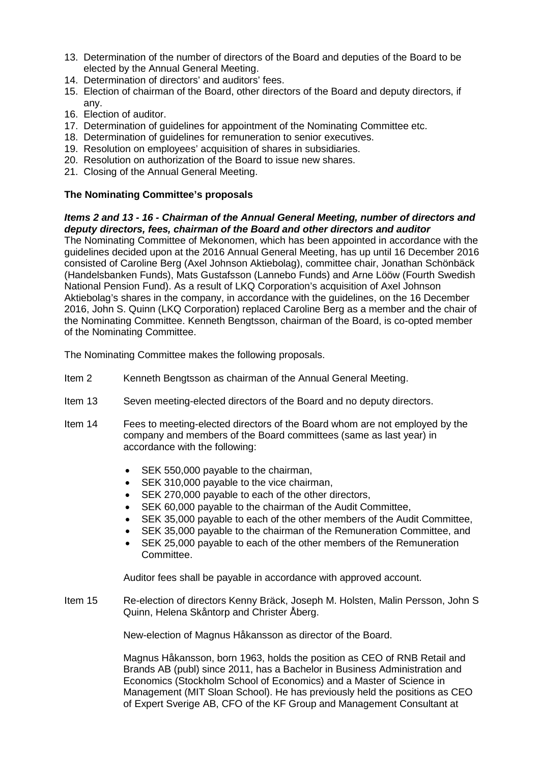- 13. Determination of the number of directors of the Board and deputies of the Board to be elected by the Annual General Meeting.
- 14. Determination of directors' and auditors' fees.
- 15. Election of chairman of the Board, other directors of the Board and deputy directors, if any.
- 16. Election of auditor.
- 17. Determination of guidelines for appointment of the Nominating Committee etc.
- 18. Determination of guidelines for remuneration to senior executives.
- 19. Resolution on employees' acquisition of shares in subsidiaries.
- 20. Resolution on authorization of the Board to issue new shares.
- 21. Closing of the Annual General Meeting.

# **The Nominating Committee's proposals**

# *Items 2 and 13 - 16 - Chairman of the Annual General Meeting, number of directors and deputy directors, fees, chairman of the Board and other directors and auditor*

The Nominating Committee of Mekonomen, which has been appointed in accordance with the guidelines decided upon at the 2016 Annual General Meeting, has up until 16 December 2016 consisted of Caroline Berg (Axel Johnson Aktiebolag), committee chair, Jonathan Schönbäck (Handelsbanken Funds), Mats Gustafsson (Lannebo Funds) and Arne Lööw (Fourth Swedish National Pension Fund). As a result of LKQ Corporation's acquisition of Axel Johnson Aktiebolag's shares in the company, in accordance with the guidelines, on the 16 December 2016, John S. Quinn (LKQ Corporation) replaced Caroline Berg as a member and the chair of the Nominating Committee. Kenneth Bengtsson, chairman of the Board, is co-opted member of the Nominating Committee.

The Nominating Committee makes the following proposals.

- Item 2 Kenneth Bengtsson as chairman of the Annual General Meeting.
- Item 13 Seven meeting-elected directors of the Board and no deputy directors.
- Item 14 Fees to meeting-elected directors of the Board whom are not employed by the company and members of the Board committees (same as last year) in accordance with the following:
	- SEK 550,000 payable to the chairman.
	- SEK 310,000 payable to the vice chairman,
	- SEK 270,000 payable to each of the other directors,
	- SEK 60,000 payable to the chairman of the Audit Committee,
	- SEK 35,000 payable to each of the other members of the Audit Committee,
	- SEK 35,000 payable to the chairman of the Remuneration Committee, and
	- SEK 25,000 payable to each of the other members of the Remuneration Committee.

Auditor fees shall be payable in accordance with approved account.

Item 15 Re-election of directors Kenny Bräck, Joseph M. Holsten, Malin Persson, John S Quinn, Helena Skåntorp and Christer Åberg.

New-election of Magnus Håkansson as director of the Board.

Magnus Håkansson, born 1963, holds the position as CEO of RNB Retail and Brands AB (publ) since 2011, has a Bachelor in Business Administration and Economics (Stockholm School of Economics) and a Master of Science in Management (MIT Sloan School). He has previously held the positions as CEO of Expert Sverige AB, CFO of the KF Group and Management Consultant at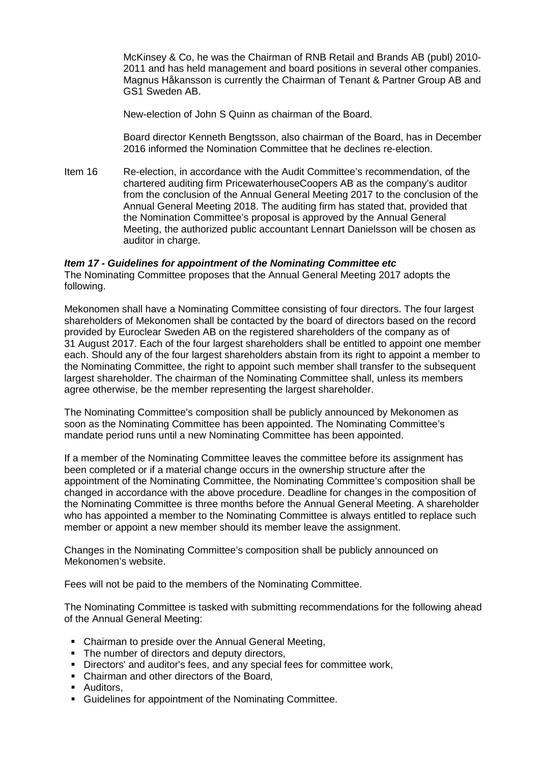McKinsey & Co, he was the Chairman of RNB Retail and Brands AB (publ) 2010- 2011 and has held management and board positions in several other companies. Magnus Håkansson is currently the Chairman of Tenant & Partner Group AB and GS1 Sweden AB.

New-election of John S Quinn as chairman of the Board.

Board director Kenneth Bengtsson, also chairman of the Board, has in December 2016 informed the Nomination Committee that he declines re-election.

Item 16 Re-election, in accordance with the Audit Committee's recommendation, of the chartered auditing firm PricewaterhouseCoopers AB as the company's auditor from the conclusion of the Annual General Meeting 2017 to the conclusion of the Annual General Meeting 2018. The auditing firm has stated that, provided that the Nomination Committee's proposal is approved by the Annual General Meeting, the authorized public accountant Lennart Danielsson will be chosen as auditor in charge.

# *Item 17 - Guidelines for appointment of the Nominating Committee etc*

The Nominating Committee proposes that the Annual General Meeting 2017 adopts the following.

Mekonomen shall have a Nominating Committee consisting of four directors. The four largest shareholders of Mekonomen shall be contacted by the board of directors based on the record provided by Euroclear Sweden AB on the registered shareholders of the company as of 31 August 2017. Each of the four largest shareholders shall be entitled to appoint one member each. Should any of the four largest shareholders abstain from its right to appoint a member to the Nominating Committee, the right to appoint such member shall transfer to the subsequent largest shareholder. The chairman of the Nominating Committee shall, unless its members agree otherwise, be the member representing the largest shareholder.

The Nominating Committee's composition shall be publicly announced by Mekonomen as soon as the Nominating Committee has been appointed. The Nominating Committee's mandate period runs until a new Nominating Committee has been appointed.

If a member of the Nominating Committee leaves the committee before its assignment has been completed or if a material change occurs in the ownership structure after the appointment of the Nominating Committee, the Nominating Committee's composition shall be changed in accordance with the above procedure. Deadline for changes in the composition of the Nominating Committee is three months before the Annual General Meeting. A shareholder who has appointed a member to the Nominating Committee is always entitled to replace such member or appoint a new member should its member leave the assignment.

Changes in the Nominating Committee's composition shall be publicly announced on Mekonomen's website.

Fees will not be paid to the members of the Nominating Committee.

The Nominating Committee is tasked with submitting recommendations for the following ahead of the Annual General Meeting:

- Chairman to preside over the Annual General Meeting,
- The number of directors and deputy directors,
- Directors' and auditor's fees, and any special fees for committee work,
- Chairman and other directors of the Board.
- **-** Auditors,
- Guidelines for appointment of the Nominating Committee.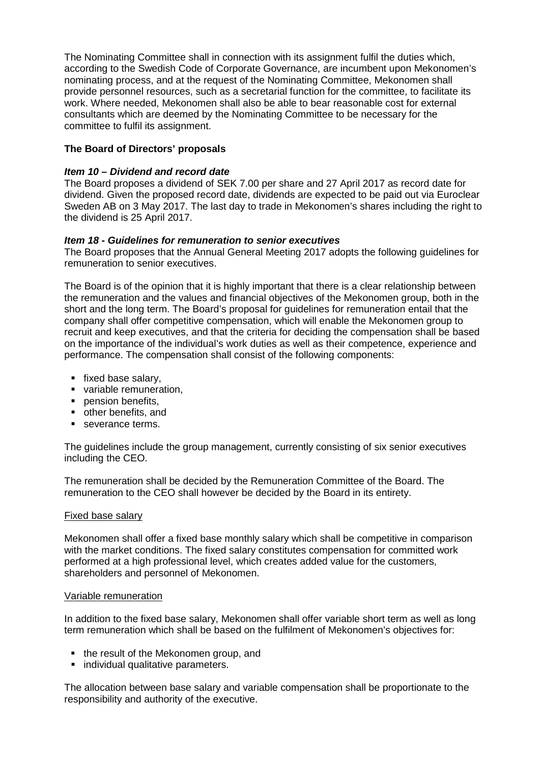The Nominating Committee shall in connection with its assignment fulfil the duties which, according to the Swedish Code of Corporate Governance, are incumbent upon Mekonomen's nominating process, and at the request of the Nominating Committee, Mekonomen shall provide personnel resources, such as a secretarial function for the committee, to facilitate its work. Where needed, Mekonomen shall also be able to bear reasonable cost for external consultants which are deemed by the Nominating Committee to be necessary for the committee to fulfil its assignment.

# **The Board of Directors' proposals**

# *Item 10 – Dividend and record date*

The Board proposes a dividend of SEK 7.00 per share and 27 April 2017 as record date for dividend. Given the proposed record date, dividends are expected to be paid out via Euroclear Sweden AB on 3 May 2017. The last day to trade in Mekonomen's shares including the right to the dividend is 25 April 2017.

# *Item 18 - Guidelines for remuneration to senior executives*

The Board proposes that the Annual General Meeting 2017 adopts the following guidelines for remuneration to senior executives.

The Board is of the opinion that it is highly important that there is a clear relationship between the remuneration and the values and financial objectives of the Mekonomen group, both in the short and the long term. The Board's proposal for guidelines for remuneration entail that the company shall offer competitive compensation, which will enable the Mekonomen group to recruit and keep executives, and that the criteria for deciding the compensation shall be based on the importance of the individual's work duties as well as their competence, experience and performance. The compensation shall consist of the following components:

- fixed base salary,
- variable remuneration.
- **pension benefits.**
- other benefits, and
- severance terms.

The guidelines include the group management, currently consisting of six senior executives including the CEO.

The remuneration shall be decided by the Remuneration Committee of the Board. The remuneration to the CEO shall however be decided by the Board in its entirety.

# Fixed base salary

Mekonomen shall offer a fixed base monthly salary which shall be competitive in comparison with the market conditions. The fixed salary constitutes compensation for committed work performed at a high professional level, which creates added value for the customers, shareholders and personnel of Mekonomen.

#### Variable remuneration

In addition to the fixed base salary, Mekonomen shall offer variable short term as well as long term remuneration which shall be based on the fulfilment of Mekonomen's objectives for:

- the result of the Mekonomen group, and
- **individual qualitative parameters.**

The allocation between base salary and variable compensation shall be proportionate to the responsibility and authority of the executive.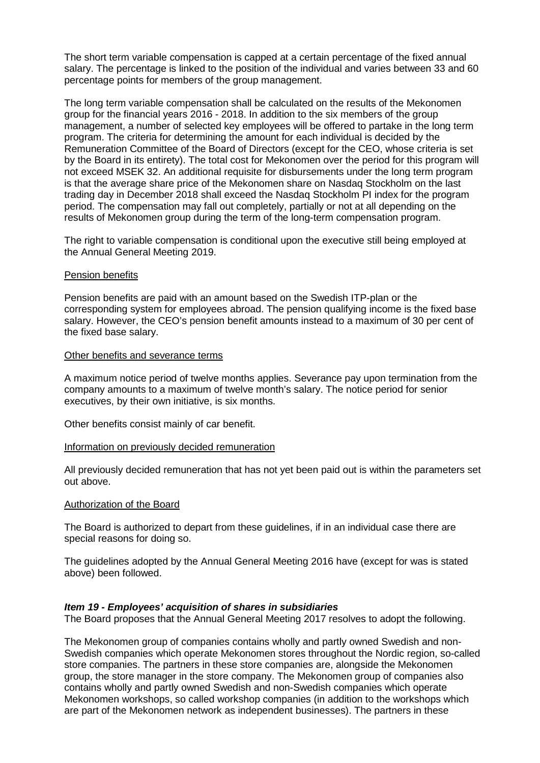The short term variable compensation is capped at a certain percentage of the fixed annual salary. The percentage is linked to the position of the individual and varies between 33 and 60 percentage points for members of the group management.

The long term variable compensation shall be calculated on the results of the Mekonomen group for the financial years 2016 - 2018. In addition to the six members of the group management, a number of selected key employees will be offered to partake in the long term program. The criteria for determining the amount for each individual is decided by the Remuneration Committee of the Board of Directors (except for the CEO, whose criteria is set by the Board in its entirety). The total cost for Mekonomen over the period for this program will not exceed MSEK 32. An additional requisite for disbursements under the long term program is that the average share price of the Mekonomen share on Nasdaq Stockholm on the last trading day in December 2018 shall exceed the Nasdaq Stockholm PI index for the program period. The compensation may fall out completely, partially or not at all depending on the results of Mekonomen group during the term of the long-term compensation program.

The right to variable compensation is conditional upon the executive still being employed at the Annual General Meeting 2019.

### Pension benefits

Pension benefits are paid with an amount based on the Swedish ITP-plan or the corresponding system for employees abroad. The pension qualifying income is the fixed base salary. However, the CEO's pension benefit amounts instead to a maximum of 30 per cent of the fixed base salary.

### Other benefits and severance terms

A maximum notice period of twelve months applies. Severance pay upon termination from the company amounts to a maximum of twelve month's salary. The notice period for senior executives, by their own initiative, is six months.

Other benefits consist mainly of car benefit.

#### Information on previously decided remuneration

All previously decided remuneration that has not yet been paid out is within the parameters set out above.

#### Authorization of the Board

The Board is authorized to depart from these guidelines, if in an individual case there are special reasons for doing so.

The guidelines adopted by the Annual General Meeting 2016 have (except for was is stated above) been followed.

# *Item 19 - Employees' acquisition of shares in subsidiaries*

The Board proposes that the Annual General Meeting 2017 resolves to adopt the following.

The Mekonomen group of companies contains wholly and partly owned Swedish and non-Swedish companies which operate Mekonomen stores throughout the Nordic region, so-called store companies. The partners in these store companies are, alongside the Mekonomen group, the store manager in the store company. The Mekonomen group of companies also contains wholly and partly owned Swedish and non-Swedish companies which operate Mekonomen workshops, so called workshop companies (in addition to the workshops which are part of the Mekonomen network as independent businesses). The partners in these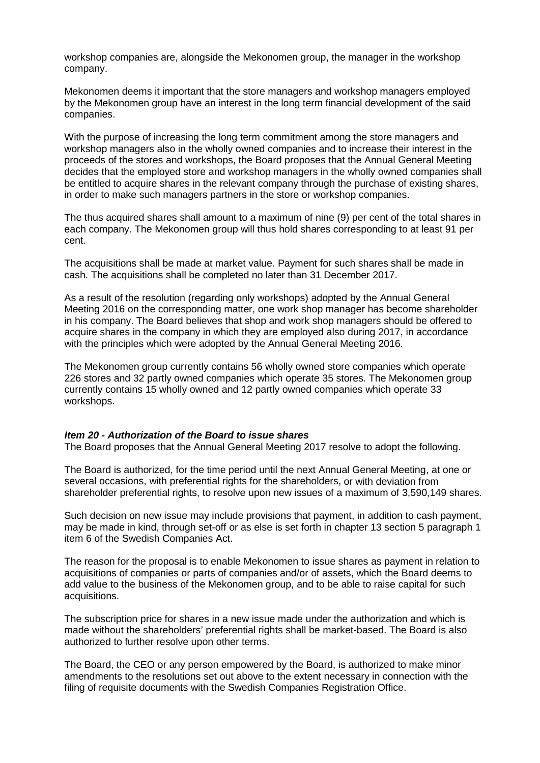workshop companies are, alongside the Mekonomen group, the manager in the workshop company.

Mekonomen deems it important that the store managers and workshop managers employed by the Mekonomen group have an interest in the long term financial development of the said companies.

With the purpose of increasing the long term commitment among the store managers and workshop managers also in the wholly owned companies and to increase their interest in the proceeds of the stores and workshops, the Board proposes that the Annual General Meeting decides that the employed store and workshop managers in the wholly owned companies shall be entitled to acquire shares in the relevant company through the purchase of existing shares, in order to make such managers partners in the store or workshop companies.

The thus acquired shares shall amount to a maximum of nine (9) per cent of the total shares in each company. The Mekonomen group will thus hold shares corresponding to at least 91 per cent.

The acquisitions shall be made at market value. Payment for such shares shall be made in cash. The acquisitions shall be completed no later than 31 December 2017.

As a result of the resolution (regarding only workshops) adopted by the Annual General Meeting 2016 on the corresponding matter, one work shop manager has become shareholder in his company. The Board believes that shop and work shop managers should be offered to acquire shares in the company in which they are employed also during 2017, in accordance with the principles which were adopted by the Annual General Meeting 2016.

The Mekonomen group currently contains 56 wholly owned store companies which operate 226 stores and 32 partly owned companies which operate 35 stores. The Mekonomen group currently contains 15 wholly owned and 12 partly owned companies which operate 33 workshops.

#### *Item 20 - Authorization of the Board to issue shares*

The Board proposes that the Annual General Meeting 2017 resolve to adopt the following.

The Board is authorized, for the time period until the next Annual General Meeting, at one or several occasions, with preferential rights for the shareholders, or with deviation from shareholder preferential rights, to resolve upon new issues of a maximum of 3,590,149 shares.

Such decision on new issue may include provisions that payment, in addition to cash payment, may be made in kind, through set-off or as else is set forth in chapter 13 section 5 paragraph 1 item 6 of the Swedish Companies Act.

The reason for the proposal is to enable Mekonomen to issue shares as payment in relation to acquisitions of companies or parts of companies and/or of assets, which the Board deems to add value to the business of the Mekonomen group, and to be able to raise capital for such acquisitions.

The subscription price for shares in a new issue made under the authorization and which is made without the shareholders' preferential rights shall be market-based. The Board is also authorized to further resolve upon other terms.

The Board, the CEO or any person empowered by the Board, is authorized to make minor amendments to the resolutions set out above to the extent necessary in connection with the filing of requisite documents with the Swedish Companies Registration Office.